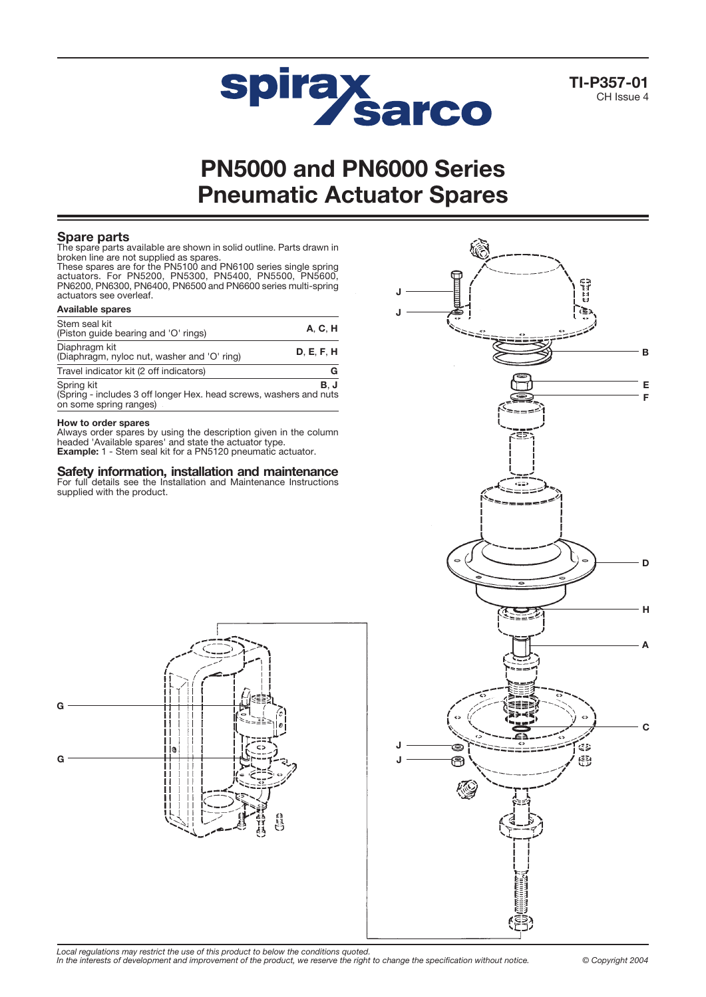

TI-P357-01 CH Issue 4

# PN5000 and PN6000 Series Pneumatic Actuator Spares

# Spare parts

The spare parts available are shown in solid outline. Parts drawn in broken line are not supplied as spares.

These spares are for the PN5100 and PN6100 series single spring actuators. For PN5200, PN5300, PN5400, PN5500, PN5600, PN6200, PN6300, PN6400, PN6500 and PN6600 series multi-spring actuators see overleaf.

| <b>Available spares</b>                                      |            |
|--------------------------------------------------------------|------------|
| Stem seal kit<br>(Piston guide bearing and 'O' rings)        | A. C. H    |
| Diaphragm kit<br>(Diaphragm, nyloc nut, washer and 'O' ring) | D. E. F. H |
| Travel indicator kit (2 off indicators)                      | G          |
| Corina kit                                                   |            |

Spring kit **B**, J (Spring - includes 3 off longer Hex. head screws, washers and nuts on some spring ranges)

## How to order spares

Always order spares by using the description given in the column headed 'Available spares' and state the actuator type.<br>**Example:** 1 - Stem seal kit for a PN5120 pneumatic actuator.

**Safety information, installation and maintenance**<br>For full details see the Installation and Maintenance Instructions supplied with the product.